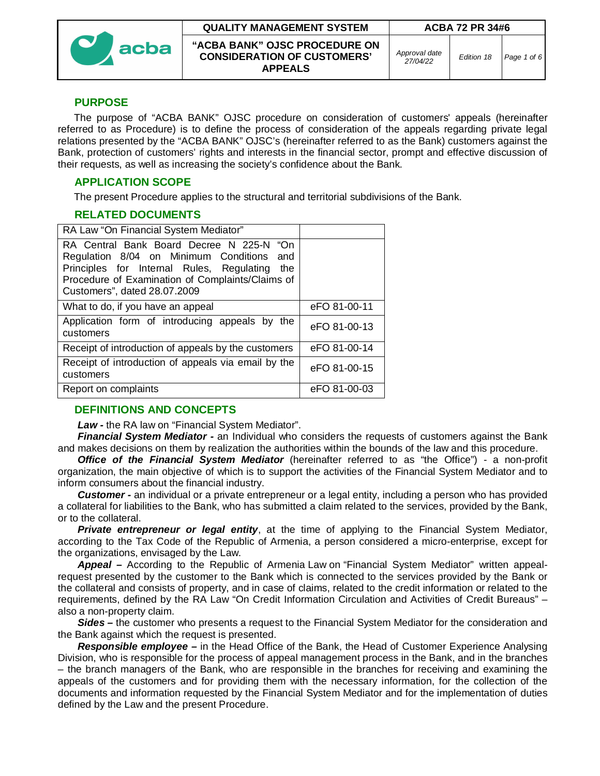

#### **QUALITY MANAGEMENT SYSTEM ACBA 72 PR 34#6**

**"ACBA BANK" OJSC PROCEDURE ON CONSIDERATION OF CUSTOMERS' APPEALS**

*Approval date*

*27/04/22 Edition 18 Page 1 of 6*

## **PURPOSE**

The purpose of "ACBA BANK" OJSC procedure on consideration of customers' appeals (hereinafter referred to as Procedure) is to define the process of consideration of the appeals regarding private legal relations presented by the "ACBA BANK" OJSC's (hereinafter referred to as the Bank) customers against the Bank, protection of customers' rights and interests in the financial sector, prompt and effective discussion of their requests, as well as increasing the society's confidence about the Bank.

## **APPLICATION SCOPE**

The present Procedure applies to the structural and territorial subdivisions of the Bank.

### **RELATED DOCUMENTS**

| RA Law "On Financial System Mediator"                                                                                                                                                                                         |              |
|-------------------------------------------------------------------------------------------------------------------------------------------------------------------------------------------------------------------------------|--------------|
| RA Central Bank Board Decree N 225-N "On<br>Regulation 8/04 on Minimum Conditions and<br>Principles for Internal Rules, Regulating<br>the<br>Procedure of Examination of Complaints/Claims of<br>Customers", dated 28.07.2009 |              |
| What to do, if you have an appeal                                                                                                                                                                                             | eFO 81-00-11 |
| Application form of introducing appeals by the<br>customers                                                                                                                                                                   | eFO 81-00-13 |
| Receipt of introduction of appeals by the customers                                                                                                                                                                           | eFO 81-00-14 |
| Receipt of introduction of appeals via email by the<br>customers                                                                                                                                                              | eFO 81-00-15 |
| Report on complaints                                                                                                                                                                                                          | eFO 81-00-03 |

#### **DEFINITIONS AND CONCEPTS**

*Law -* the RA law on "Financial System Mediator".

*Financial System Mediator -* an Individual who considers the requests of customers against the Bank and makes decisions on them by realization the authorities within the bounds of the law and this procedure.

*Office of the Financial System Mediator* (hereinafter referred to as "the Office") - a non-profit organization, the main objective of which is to support the activities of the Financial System Mediator and to inform consumers about the financial industry.

*Customer -* an individual or a private entrepreneur or a legal entity, including a person who has provided a collateral for liabilities to the Bank, who has submitted a claim related to the services, provided by the Bank, or to the collateral.

*Private entrepreneur or legal entity*, at the time of applying to the Financial System Mediator, according to the Tax Code of the Republic of Armenia, a person considered a micro-enterprise, except for the organizations, envisaged by the Law.

*Appeal –* According to the Republic of Armenia Law on "Financial System Mediator" written appealrequest presented by the customer to the Bank which is connected to the services provided by the Bank or the collateral and consists of property, and in case of claims, related to the credit information or related to the requirements, defined by the RA Law "On Credit Information Circulation and Activities of Credit Bureaus" – also a non-property claim.

*Sides –* the customer who presents a request to the Financial System Mediator for the consideration and the Bank against which the request is presented.

*Responsible employee –* in the Head Office of the Bank, the Head of Customer Experience Analysing Division, who is responsible for the process of appeal management process in the Bank, and in the branches – the branch managers of the Bank, who are responsible in the branches for receiving and examining the appeals of the customers and for providing them with the necessary information, for the collection of the documents and information requested by the Financial System Mediator and for the implementation of duties defined by the Law and the present Procedure.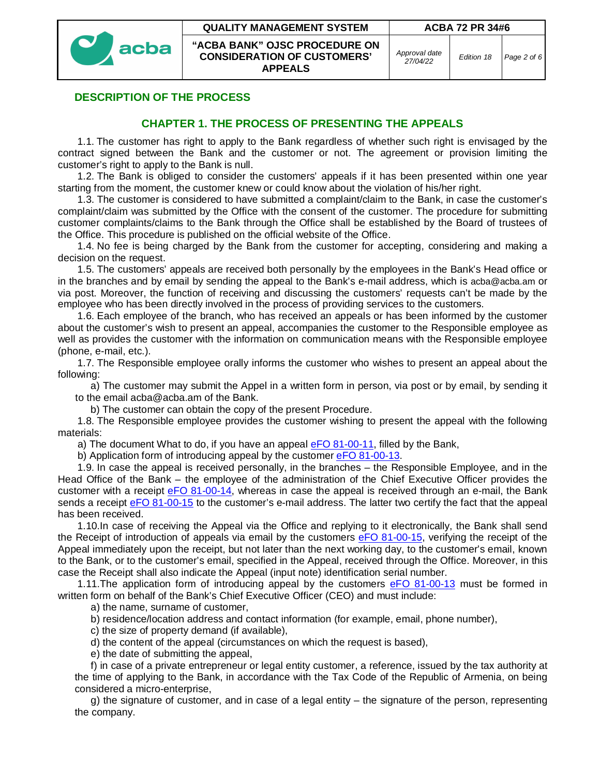



**"ACBA BANK" OJSC PROCEDURE ON CONSIDERATION OF CUSTOMERS' APPEALS**

# **DESCRIPTION OF THE PROCESS**

## **CHAPTER 1. THE PROCESS OF PRESENTING THE APPEALS**

1.1. The customer has right to apply to the Bank regardless of whether such right is envisaged by the contract signed between the Bank and the customer or not. The agreement or provision limiting the customer's right to apply to the Bank is null.

1.2. The Bank is obliged to consider the customers' appeals if it has been presented within one year starting from the moment, the customer knew or could know about the violation of his/her right.

1.3. The customer is considered to have submitted a complaint/claim to the Bank, in case the customer's complaint/claim was submitted by the Office with the consent of the customer. The procedure for submitting customer complaints/claims to the Bank through the Office shall be established by the Board of trustees of the Office. This procedure is published on the official website of the Office.

1.4. No fee is being charged by the Bank from the customer for accepting, considering and making a decision on the request.

1.5. The customers' appeals are received both personally by the employees in the Bank's Head office or in the branches and by email by sending the appeal to the Bank's e-mail address, which is acba@acba.am or via post. Moreover, the function of receiving and discussing the customers' requests can't be made by the employee who has been directly involved in the process of providing services to the customers.

1.6. Each employee of the branch, who has received an appeals or has been informed by the customer about the customer's wish to present an appeal, accompanies the customer to the Responsible employee as well as provides the customer with the information on communication means with the Responsible employee (phone, e-mail, etc.).

1.7. The Responsible employee orally informs the customer who wishes to present an appeal about the following:

a) The customer may submit the Appel in a written form in person, via post or by email, by sending it to the email acba@acba.am of the Bank.

b) The customer can obtain the copy of the present Procedure.

1.8. The Responsible employee provides the customer wishing to present the appeal with the following materials:

a) The document What to do, if you have an appeal eFO 81-00-11, filled by the Bank,

b) Application form of introducing appeal by the customer eFO 81-00-13.

1.9. In case the appeal is received personally, in the branches – the Responsible Employee, and in the Head Office of the Bank – the employee of the administration of the Chief Executive Officer provides the customer with a receipt eFO 81-00-14, whereas in case the appeal is received through an e-mail, the Bank sends a receipt eFO 81-00-15 to the customer's e-mail address. The latter two certify the fact that the appeal has been received.

1.10.In case of receiving the Appeal via the Office and replying to it electronically, the Bank shall send the Receipt of introduction of appeals via email by the customers eFO 81-00-15, verifying the receipt of the Appeal immediately upon the receipt, but not later than the next working day, to the customer's email, known to the Bank, or to the customer's email, specified in the Appeal, received through the Office. Moreover, in this case the Receipt shall also indicate the Appeal (input note) identification serial number.

1.11. The application form of introducing appeal by the customers eFO 81-00-13 must be formed in written form on behalf of the Bank's Chief Executive Officer (CEO) and must include:

a) the name, surname of customer,

b) residence/location address and contact information (for example, email, phone number),

c) the size of property demand (if available),

d) the content of the appeal (circumstances on which the request is based),

e) the date of submitting the appeal,

f) in case of a private entrepreneur or legal entity customer, a reference, issued by the tax authority at the time of applying to the Bank, in accordance with the Tax Code of the Republic of Armenia, on being considered a micro-enterprise,

g) the signature of customer, and in case of a legal entity – the signature of the person, representing the company.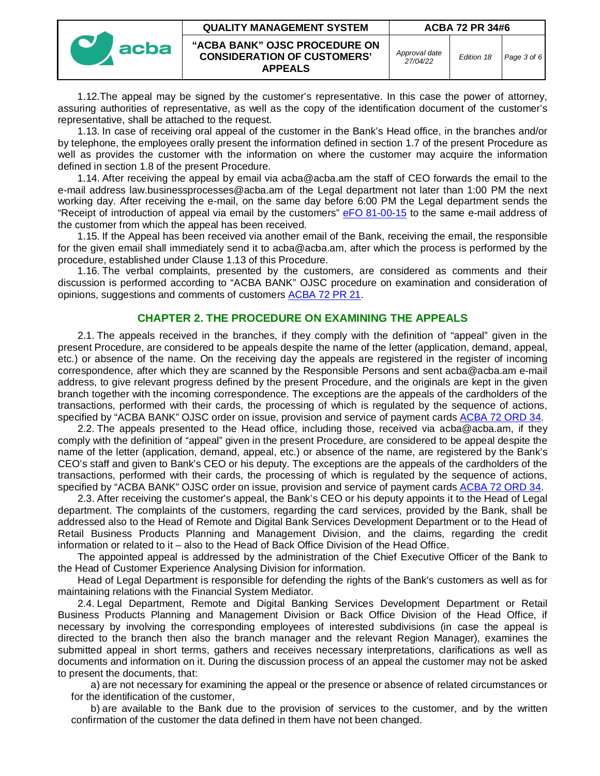| acba | <b>QUALITY MANAGEMENT SYSTEM</b>                                                      | <b>ACBA 72 PR 34#6</b>    |            |             |
|------|---------------------------------------------------------------------------------------|---------------------------|------------|-------------|
|      | "ACBA BANK" OJSC PROCEDURE ON<br><b>CONSIDERATION OF CUSTOMERS'</b><br><b>APPEALS</b> | Approval date<br>27/04/22 | Edition 18 | Page 3 of 6 |

1.12.The appeal may be signed by the customer's representative. In this case the power of attorney, assuring authorities of representative, as well as the copy of the identification document of the customer's representative, shall be attached to the request.

1.13. In case of receiving oral appeal of the customer in the Bank's Head office, in the branches and/or by telephone, the employees orally present the information defined in section 1.7 of the present Procedure as well as provides the customer with the information on where the customer may acquire the information defined in section 1.8 of the present Procedure.

1.14. After receiving the appeal by email via acba@acba.am the staff of CEO forwards the email to the e-mail address law.businessprocesses@acba.am of the Legal department not later than 1:00 PM the next working day. After receiving the e-mail, on the same day before 6:00 PM the Legal department sends the "Receipt of introduction of appeal via email by the customers" eFO 81-00-15 to the same e-mail address of the customer from which the appeal has been received.

1.15. If the Appeal has been received via another email of the Bank, receiving the email, the responsible for the given email shall immediately send it to acba@acba.am, after which the process is performed by the procedure, established under Clause 1.13 of this Procedure.

1.16. The verbal complaints, presented by the customers, are considered as comments and their discussion is performed according to "ACBA BANK" OJSC procedure on examination and consideration of opinions, suggestions and comments of customers ACBA 72 PR 21.

### **CHAPTER 2. THE PROCEDURE ON EXAMINING THE APPEALS**

2.1. The appeals received in the branches, if they comply with the definition of "appeal" given in the present Procedure, are considered to be appeals despite the name of the letter (application, demand, appeal, etc.) or absence of the name. On the receiving day the appeals are registered in the register of incoming correspondence, after which they are scanned by the Responsible Persons and sent acba@acba.am e-mail address, to give relevant progress defined by the present Procedure, and the originals are kept in the given branch together with the incoming correspondence. The exceptions are the appeals of the cardholders of the transactions, performed with their cards, the processing of which is regulated by the sequence of actions, specified by "ACBA BANK" OJSC order on issue, provision and service of payment cards ACBA 72 ORD 34.

2.2. The appeals presented to the Head office, including those, received via acba@acba.am, if they comply with the definition of "appeal" given in the present Procedure, are considered to be appeal despite the name of the letter (application, demand, appeal, etc.) or absence of the name, are registered by the Bank's CEO's staff and given to Bank's CEO or his deputy. The exceptions are the appeals of the cardholders of the transactions, performed with their cards, the processing of which is regulated by the sequence of actions, specified by "ACBA BANK" OJSC order on issue, provision and service of payment cards ACBA 72 ORD 34.

2.3. After receiving the customer's appeal, the Bank's CEO or his deputy appoints it to the Head of Legal department. The complaints of the customers, regarding the card services, provided by the Bank, shall be addressed also to the Head of Remote and Digital Bank Services Development Department or to the Head of Retail Business Products Planning and Management Division, and the claims, regarding the credit information or related to it – also to the Head of Back Office Division of the Head Office.

The appointed appeal is addressed by the administration of the Chief Executive Officer of the Bank to the Head of Customer Experience Analysing Division for information.

Head of Legal Department is responsible for defending the rights of the Bank's customers as well as for maintaining relations with the Financial System Mediator.

2.4. Legal Department, Remote and Digital Banking Services Development Department or Retail Business Products Planning and Management Division or Back Office Division of the Head Office, if necessary by involving the corresponding employees of interested subdivisions (in case the appeal is directed to the branch then also the branch manager and the relevant Region Manager), examines the submitted appeal in short terms, gathers and receives necessary interpretations, clarifications as well as documents and information on it. During the discussion process of an appeal the customer may not be asked to present the documents, that:

a) are not necessary for examining the appeal or the presence or absence of related circumstances or for the identification of the customer,

b) are available to the Bank due to the provision of services to the customer, and by the written confirmation of the customer the data defined in them have not been changed.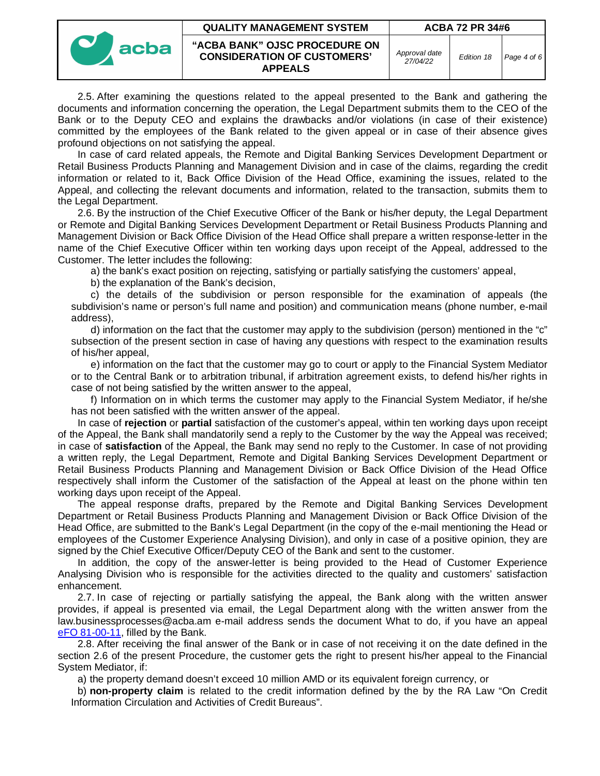|  | <b>QUALITY MANAGEMENT SYSTEM</b> | ACBA 72 PR 34#6                                                                       |                           |            |             |
|--|----------------------------------|---------------------------------------------------------------------------------------|---------------------------|------------|-------------|
|  | acba                             | "ACBA BANK" OJSC PROCEDURE ON<br><b>CONSIDERATION OF CUSTOMERS'</b><br><b>APPEALS</b> | Approval date<br>27/04/22 | Edition 18 | Page 4 of 6 |

2.5. After examining the questions related to the appeal presented to the Bank and gathering the documents and information concerning the operation, the Legal Department submits them to the CEO of the Bank or to the Deputy CEO and explains the drawbacks and/or violations (in case of their existence) committed by the employees of the Bank related to the given appeal or in case of their absence gives profound objections on not satisfying the appeal.

In case of card related appeals, the Remote and Digital Banking Services Development Department or Retail Business Products Planning and Management Division and in case of the claims, regarding the credit information or related to it, Back Office Division of the Head Office, examining the issues, related to the Appeal, and collecting the relevant documents and information, related to the transaction, submits them to the Legal Department.

2.6. By the instruction of the Chief Executive Officer of the Bank or his/her deputy, the Legal Department or Remote and Digital Banking Services Development Department or Retail Business Products Planning and Management Division or Back Office Division of the Head Office shall prepare a written response-letter in the name of the Chief Executive Officer within ten working days upon receipt of the Appeal, addressed to the Customer. The letter includes the following:

a) the bank's exact position on rejecting, satisfying or partially satisfying the customers' appeal,

b) the explanation of the Bank's decision,

c) the details of the subdivision or person responsible for the examination of appeals (the subdivision's name or person's full name and position) and communication means (phone number, e-mail address),

d) information on the fact that the customer may apply to the subdivision (person) mentioned in the "c" subsection of the present section in case of having any questions with respect to the examination results of his/her appeal,

e) information on the fact that the customer may go to court or apply to the Financial System Mediator or to the Central Bank or to arbitration tribunal, if arbitration agreement exists, to defend his/her rights in case of not being satisfied by the written answer to the appeal,

f) Information on in which terms the customer may apply to the Financial System Mediator, if he/she has not been satisfied with the written answer of the appeal.

In case of **rejection** or **partial** satisfaction of the customer's appeal, within ten working days upon receipt of the Appeal, the Bank shall mandatorily send a reply to the Customer by the way the Appeal was received; in case of **satisfaction** of the Appeal, the Bank may send no reply to the Customer. In case of not providing a written reply, the Legal Department, Remote and Digital Banking Services Development Department or Retail Business Products Planning and Management Division or Back Office Division of the Head Office respectively shall inform the Customer of the satisfaction of the Appeal at least on the phone within ten working days upon receipt of the Appeal.

The appeal response drafts, prepared by the Remote and Digital Banking Services Development Department or Retail Business Products Planning and Management Division or Back Office Division of the Head Office, are submitted to the Bank's Legal Department (in the copy of the e-mail mentioning the Head or employees of the Customer Experience Analysing Division), and only in case of a positive opinion, they are signed by the Chief Executive Officer/Deputy CEO of the Bank and sent to the customer.

In addition, the copy of the answer-letter is being provided to the Head of Customer Experience Analysing Division who is responsible for the activities directed to the quality and customers' satisfaction enhancement.

2.7. In case of rejecting or partially satisfying the appeal, the Bank along with the written answer provides, if appeal is presented via email, the Legal Department along with the written answer from the law.businessprocesses@acba.am e-mail address sends the document What to do, if you have an appeal eFO 81-00-11, filled by the Bank.

2.8. After receiving the final answer of the Bank or in case of not receiving it on the date defined in the section 2.6 of the present Procedure, the customer gets the right to present his/her appeal to the Financial System Mediator, if:

a) the property demand doesn't exceed 10 million AMD or its equivalent foreign currency, or

b) **non-property claim** is related to the credit information defined by the by the RA Law "On Credit Information Circulation and Activities of Credit Bureaus".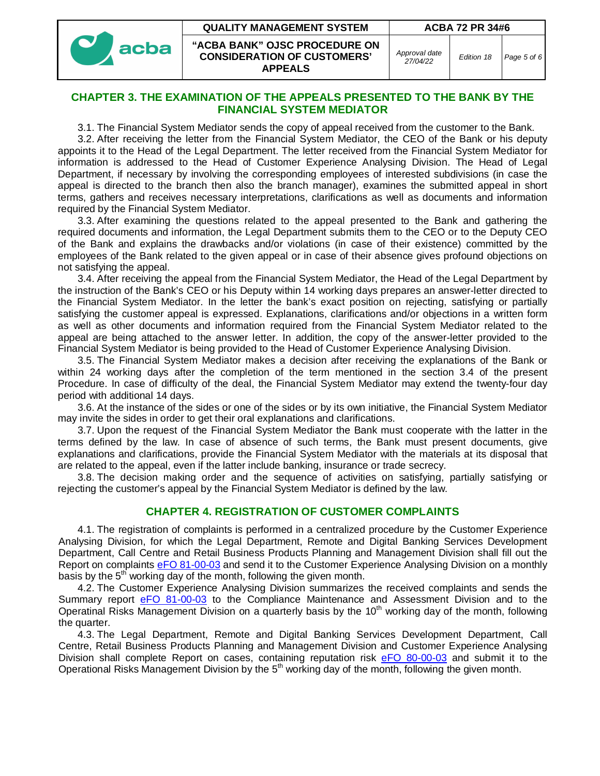**QUALITY MANAGEMENT SYSTEM ACBA 72 PR 34#6**



**"ACBA BANK" OJSC PROCEDURE ON CONSIDERATION OF CUSTOMERS' APPEALS**

*Approval date*

*27/04/22 Edition 18 Page 5 of 6*

#### **CHAPTER 3. THE EXAMINATION OF THE APPEALS PRESENTED TO THE BANK BY THE FINANCIAL SYSTEM MEDIATOR**

3.1. The Financial System Mediator sends the copy of appeal received from the customer to the Bank.

3.2. After receiving the letter from the Financial System Mediator, the CEO of the Bank or his deputy appoints it to the Head of the Legal Department. The letter received from the Financial System Mediator for information is addressed to the Head of Customer Experience Analysing Division. The Head of Legal Department, if necessary by involving the corresponding employees of interested subdivisions (in case the appeal is directed to the branch then also the branch manager), examines the submitted appeal in short terms, gathers and receives necessary interpretations, clarifications as well as documents and information required by the Financial System Mediator.

3.3. After examining the questions related to the appeal presented to the Bank and gathering the required documents and information, the Legal Department submits them to the CEO or to the Deputy CEO of the Bank and explains the drawbacks and/or violations (in case of their existence) committed by the employees of the Bank related to the given appeal or in case of their absence gives profound objections on not satisfying the appeal.

3.4. After receiving the appeal from the Financial System Mediator, the Head of the Legal Department by the instruction of the Bank's CEO or his Deputy within 14 working days prepares an answer-letter directed to the Financial System Mediator. In the letter the bank's exact position on rejecting, satisfying or partially satisfying the customer appeal is expressed. Explanations, clarifications and/or objections in a written form as well as other documents and information required from the Financial System Mediator related to the appeal are being attached to the answer letter. In addition, the copy of the answer-letter provided to the Financial System Mediator is being provided to the Head of Customer Experience Analysing Division.

3.5. The Financial System Mediator makes a decision after receiving the explanations of the Bank or within 24 working days after the completion of the term mentioned in the section 3.4 of the present Procedure. In case of difficulty of the deal, the Financial System Mediator may extend the twenty-four day period with additional 14 days.

3.6. At the instance of the sides or one of the sides or by its own initiative, the Financial System Mediator may invite the sides in order to get their oral explanations and clarifications.

3.7. Upon the request of the Financial System Mediator the Bank must cooperate with the latter in the terms defined by the law. In case of absence of such terms, the Bank must present documents, give explanations and clarifications, provide the Financial System Mediator with the materials at its disposal that are related to the appeal, even if the latter include banking, insurance or trade secrecy.

3.8. The decision making order and the sequence of activities on satisfying, partially satisfying or rejecting the customer's appeal by the Financial System Mediator is defined by the law.

## **CHAPTER 4. REGISTRATION OF CUSTOMER COMPLAINTS**

4.1. The registration of complaints is performed in a centralized procedure by the Customer Experience Analysing Division, for which the Legal Department, Remote and Digital Banking Services Development Department, Call Centre and Retail Business Products Planning and Management Division shall fill out the Report on complaints eFO 81-00-03 and send it to the Customer Experience Analysing Division on a monthly basis by the  $5<sup>th</sup>$  working day of the month, following the given month.

4.2. The Customer Experience Analysing Division summarizes the received complaints and sends the Summary report eFO 81-00-03 to the Compliance Maintenance and Assessment Division and to the Operatinal Risks Management Division on a quarterly basis by the 10<sup>th</sup> working day of the month, following the quarter.

4.3. The Legal Department, Remote and Digital Banking Services Development Department, Call Centre, Retail Business Products Planning and Management Division and Customer Experience Analysing Division shall complete Report on cases, containing reputation risk eFO 80-00-03 and submit it to the Operational Risks Management Division by the  $5<sup>th</sup>$  working day of the month, following the given month.